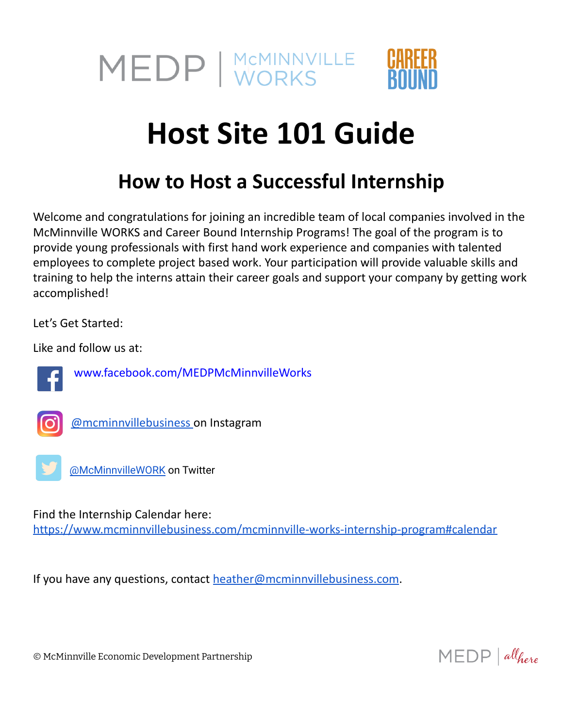

## **Host Site 101 Guide**

## **How to Host a Successful Internship**

Welcome and congratulations for joining an incredible team of local companies involved in the McMinnville WORKS and Career Bound Internship Programs! The goal of the program is to provide young professionals with first hand work experience and companies with talented employees to complete project based work. Your participation will provide valuable skills and training to help the interns attain their career goals and support your company by getting work accomplished!

Let's Get Started:

Like and follow us at:



[www.facebook.com/MEDPMcMinnvilleWorks](https://www.facebook.com/MEDPMcMinnvilleWorks)



[@mcminnvillebusiness](https://www.instagram.com/mcminnvillebusiness/) on Instagram



[@McMinnvilleWORK](https://twitter.com/McMinnvilleWORK) on Twitter

Find the Internship Calendar here:

<https://www.mcminnvillebusiness.com/mcminnville-works-internship-program#calendar>

If you have any questions, contact [heather@mcminnvillebusiness.com](mailto:heather@mcminnvillebusiness.com).

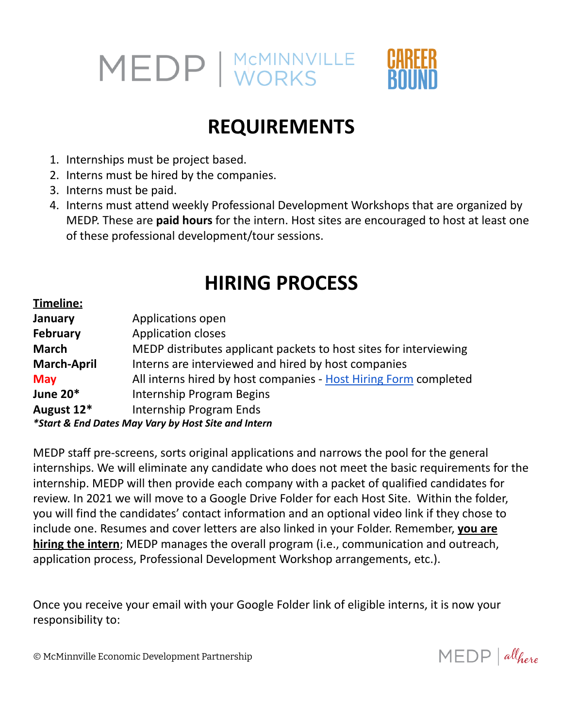

### **REQUIREMENTS**

- 1. Internships must be project based.
- 2. Interns must be hired by the companies.
- 3. Interns must be paid.
- 4. Interns must attend weekly Professional Development Workshops that are organized by MEDP. These are **paid hours** for the intern. Host sites are encouraged to host at least one of these professional development/tour sessions.

### **HIRING PROCESS**

| Timeline:                                           |                                                                   |  |
|-----------------------------------------------------|-------------------------------------------------------------------|--|
| January                                             | Applications open                                                 |  |
| <b>February</b>                                     | <b>Application closes</b>                                         |  |
| <b>March</b>                                        | MEDP distributes applicant packets to host sites for interviewing |  |
| <b>March-April</b>                                  | Interns are interviewed and hired by host companies               |  |
| <b>May</b>                                          | All interns hired by host companies - Host Hiring Form completed  |  |
| <b>June 20*</b>                                     | Internship Program Begins                                         |  |
| August 12*                                          | Internship Program Ends                                           |  |
| *Start & End Dates May Vary by Host Site and Intern |                                                                   |  |

MEDP staff pre-screens, sorts original applications and narrows the pool for the general internships. We will eliminate any candidate who does not meet the basic requirements for the internship. MEDP will then provide each company with a packet of qualified candidates for review. In 2021 we will move to a Google Drive Folder for each Host Site. Within the folder, you will find the candidates' contact information and an optional video link if they chose to include one. Resumes and cover letters are also linked in your Folder. Remember, **you are hiring the intern**; MEDP manages the overall program (i.e., communication and outreach, application process, Professional Development Workshop arrangements, etc.).

Once you receive your email with your Google Folder link of eligible interns, it is now your responsibility to:

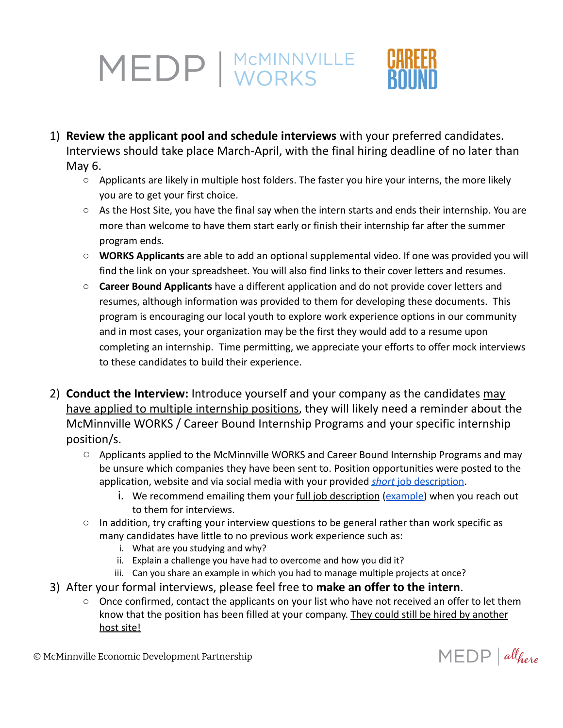- 1) **Review the applicant pool and schedule interviews** with your preferred candidates. Interviews should take place March-April, with the final hiring deadline of no later than May 6.
	- Applicants are likely in multiple host folders. The faster you hire your interns, the more likely you are to get your first choice.
	- As the Host Site, you have the final say when the intern starts and ends their internship. You are more than welcome to have them start early or finish their internship far after the summer program ends.
	- **WORKS Applicants** are able to add an optional supplemental video. If one was provided you will find the link on your spreadsheet. You will also find links to their cover letters and resumes.
	- **Career Bound Applicants** have a different application and do not provide cover letters and resumes, although information was provided to them for developing these documents. This program is encouraging our local youth to explore work experience options in our community and in most cases, your organization may be the first they would add to a resume upon completing an internship. Time permitting, we appreciate your efforts to offer mock interviews to these candidates to build their experience.
- 2) **Conduct the Interview:** Introduce yourself and your company as the candidates may have applied to multiple internship positions, they will likely need a reminder about the McMinnville WORKS / Career Bound Internship Programs and your specific internship position/s.
	- Applicants applied to the McMinnville WORKS and Career Bound Internship Programs and may be unsure which companies they have been sent to. Position opportunities were posted to the application, website and via social media with your provided *short* [job description](https://www.mcminnvillebusiness.com/pub/doc/2021-Host-Sites-Job-Descriptions-v5-.pdf).
		- i. We recommend emailing them your full job description ([example\)](https://www.mcminnvillebusiness.com/pub/doc/MEDP-Internship-Coordinator-Job-Description-2021.docx.pdf) when you reach out to them for interviews.
	- $\circ$  In addition, try crafting your interview questions to be general rather than work specific as many candidates have little to no previous work experience such as:
		- i. What are you studying and why?
		- ii. Explain a challenge you have had to overcome and how you did it?
		- iii. Can you share an example in which you had to manage multiple projects at once?
- 3) After your formal interviews, please feel free to **make an offer to the intern**.
	- Once confirmed, contact the applicants on your list who have not received an offer to let them know that the position has been filled at your company. They could still be hired by another host site!



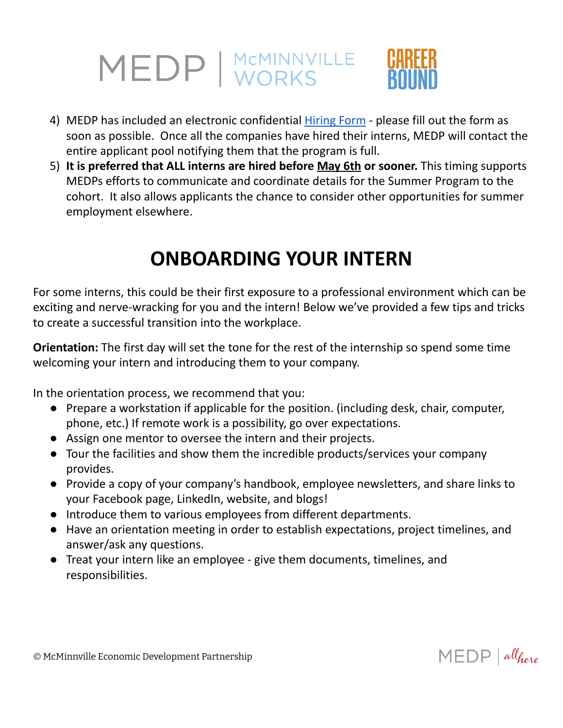- 4) MEDP has included an electronic confidential *[Hiring](https://www.mcminnvillebusiness.com/medp-summer-internship-program-hiring-form) Form please fill out the form as* soon as possible. Once all the companies have hired their interns, MEDP will contact the entire applicant pool notifying them that the program is full.
- 5) **It is preferred that ALL interns are hired before May 6th or sooner.** This timing supports MEDPs efforts to communicate and coordinate details for the Summer Program to the cohort. It also allows applicants the chance to consider other opportunities for summer employment elsewhere.

## **ONBOARDING YOUR INTERN**

For some interns, this could be their first exposure to a professional environment which can be exciting and nerve-wracking for you and the intern! Below we've provided a few tips and tricks to create a successful transition into the workplace.

**Orientation:** The first day will set the tone for the rest of the internship so spend some time welcoming your intern and introducing them to your company.

In the orientation process, we recommend that you:

- Prepare a workstation if applicable for the position. (including desk, chair, computer, phone, etc.) If remote work is a possibility, go over expectations.
- Assign one mentor to oversee the intern and their projects.
- Tour the facilities and show them the incredible products/services your company provides.
- Provide a copy of your company's handbook, employee newsletters, and share links to your Facebook page, LinkedIn, website, and blogs!
- Introduce them to various employees from different departments.
- Have an orientation meeting in order to establish expectations, project timelines, and answer/ask any questions.
- Treat your intern like an employee give them documents, timelines, and responsibilities.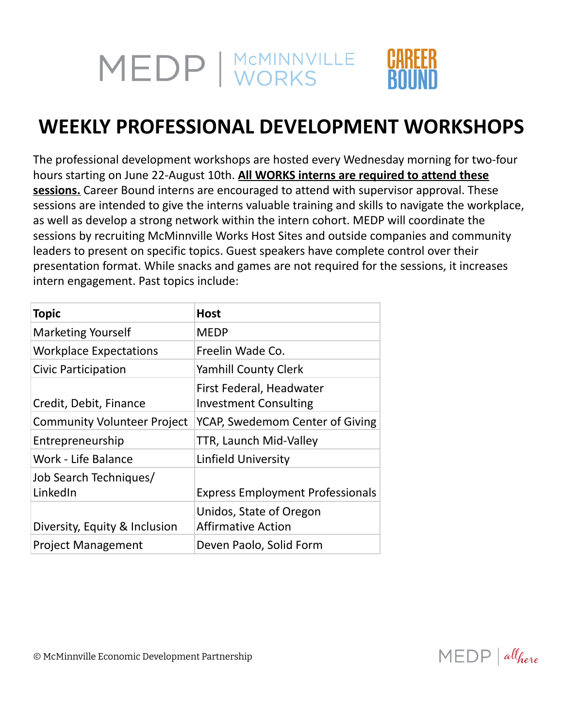## **WEEKLY PROFESSIONAL DEVELOPMENT WORKSHOPS**

The professional development workshops are hosted every Wednesday morning for two-four hours starting on June 22-August 10th. **All WORKS interns are required to attend these sessions.** Career Bound interns are encouraged to attend with supervisor approval. These sessions are intended to give the interns valuable training and skills to navigate the workplace, as well as develop a strong network within the intern cohort. MEDP will coordinate the sessions by recruiting McMinnville Works Host Sites and outside companies and community leaders to present on specific topics. Guest speakers have complete control over their presentation format. While snacks and games are not required for the sessions, it increases intern engagement. Past topics include:

| <b>Topic</b>                       | <b>Host</b>                                              |
|------------------------------------|----------------------------------------------------------|
| <b>Marketing Yourself</b>          | <b>MEDP</b>                                              |
| <b>Workplace Expectations</b>      | Freelin Wade Co.                                         |
| Civic Participation                | <b>Yamhill County Clerk</b>                              |
| Credit, Debit, Finance             | First Federal, Headwater<br><b>Investment Consulting</b> |
| <b>Community Volunteer Project</b> | YCAP, Swedemom Center of Giving                          |
| Entrepreneurship                   | TTR, Launch Mid-Valley                                   |
| Work - Life Balance                | <b>Linfield University</b>                               |
| Job Search Techniques/<br>LinkedIn | <b>Express Employment Professionals</b>                  |
| Diversity, Equity & Inclusion      | Unidos, State of Oregon<br><b>Affirmative Action</b>     |
| <b>Project Management</b>          | Deven Paolo, Solid Form                                  |

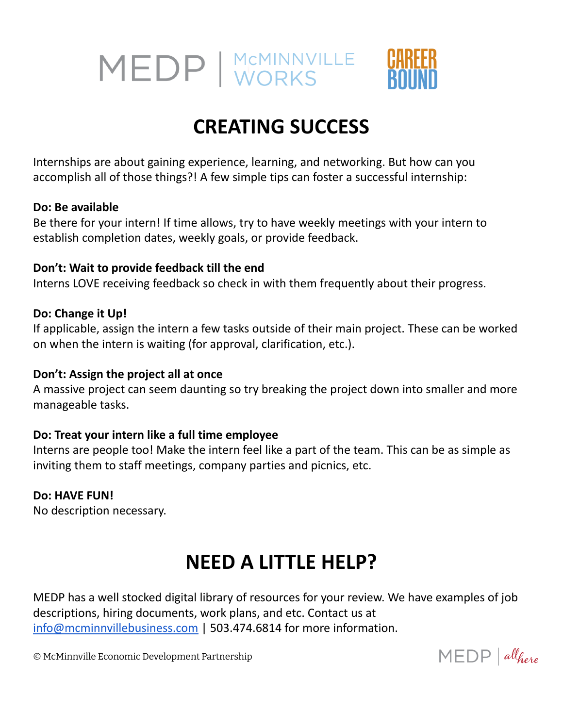

## **CREATING SUCCESS**

Internships are about gaining experience, learning, and networking. But how can you accomplish all of those things?! A few simple tips can foster a successful internship:

#### **Do: Be available**

Be there for your intern! If time allows, try to have weekly meetings with your intern to establish completion dates, weekly goals, or provide feedback.

#### **Don't: Wait to provide feedback till the end**

Interns LOVE receiving feedback so check in with them frequently about their progress.

#### **Do: Change it Up!**

If applicable, assign the intern a few tasks outside of their main project. These can be worked on when the intern is waiting (for approval, clarification, etc.).

#### **Don't: Assign the project all at once**

A massive project can seem daunting so try breaking the project down into smaller and more manageable tasks.

#### **Do: Treat your intern like a full time employee**

Interns are people too! Make the intern feel like a part of the team. This can be as simple as inviting them to staff meetings, company parties and picnics, etc.

#### **Do: HAVE FUN!**

No description necessary.

## **NEED A LITTLE HELP?**

MEDP has a well stocked digital library of resources for your review. We have examples of job descriptions, hiring documents, work plans, and etc. Contact us at [info@mcminnvillebusiness.com](mailto:info@mcminnvillebusiness.com) | 503.474.6814 for more information.